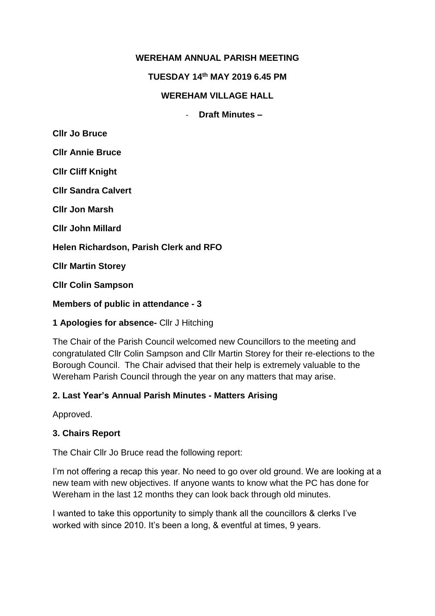# **WEREHAM ANNUAL PARISH MEETING**

**TUESDAY 14th MAY 2019 6.45 PM**

### **WEREHAM VILLAGE HALL**

- **Draft Minutes –**

**Cllr Jo Bruce**

**Cllr Annie Bruce**

**Cllr Cliff Knight**

**Cllr Sandra Calvert**

**Cllr Jon Marsh**

**Cllr John Millard**

**Helen Richardson, Parish Clerk and RFO**

**Cllr Martin Storey**

**Cllr Colin Sampson**

**Members of public in attendance - 3**

### **1 Apologies for absence-** Cllr J Hitching

The Chair of the Parish Council welcomed new Councillors to the meeting and congratulated Cllr Colin Sampson and Cllr Martin Storey for their re-elections to the Borough Council. The Chair advised that their help is extremely valuable to the Wereham Parish Council through the year on any matters that may arise.

### **2. Last Year's Annual Parish Minutes - Matters Arising**

Approved.

### **3. Chairs Report**

The Chair Cllr Jo Bruce read the following report:

I'm not offering a recap this year. No need to go over old ground. We are looking at a new team with new objectives. If anyone wants to know what the PC has done for Wereham in the last 12 months they can look back through old minutes.

I wanted to take this opportunity to simply thank all the councillors & clerks I've worked with since 2010. It's been a long, & eventful at times, 9 years.